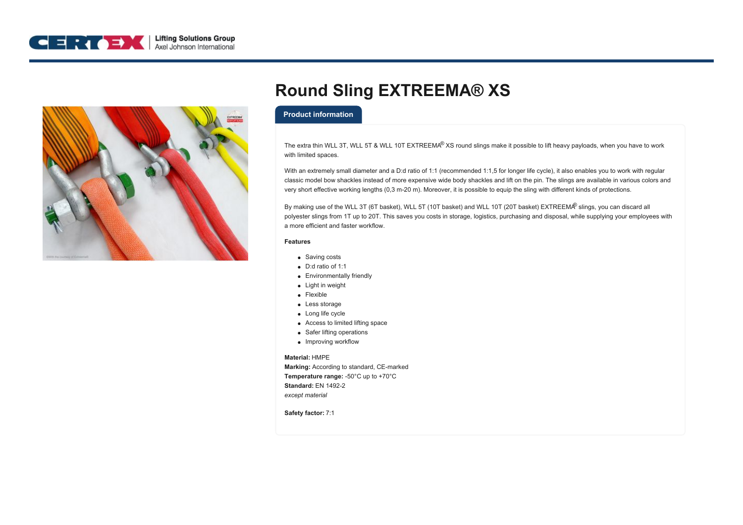



# **Round Sling EXTREEMA® XS**

## **Product information**

The extra thin WLL 3T, WLL 5T & WLL 10T EXTREEMA® XS round slings make it possible to lift heavy payloads, when you have to work with limited spaces.

With an extremely small diameter and a D:d ratio of 1:1 (recommended 1:1,5 for longer life cycle), it also enables you to work with regular classic model bow shackles instead of more expensive wide body shackles and lift on the pin. The slings are available in various colors and very short effective working lengths (0,3 m-20 m). Moreover, it is possible to equip the sling with different kinds of protections.

By making use of the WLL 3T (6T basket), WLL 5T (10T basket) and WLL 10T (20T basket) EXTREEM $^@$  slings, you can discard all polyester slings from 1T up to 20T. This saves you costs in storage, logistics, purchasing and disposal, while supplying your employees with a more efficient and faster workflow.

#### **Features**

- Saving costs
- D:d ratio of 1:1
- Environmentally friendly
- Light in weight
- Flexible
- Less storage
- Long life cycle
- Access to limited lifting space
- Safer lifting operations
- Improving workflow

### **Material:** HMPE

**Marking:** According to standard, CE-marked **Temperature range:** -50°C up to +70°C **Standard:** EN 1492-2 *except material*

**Safety factor:** 7:1